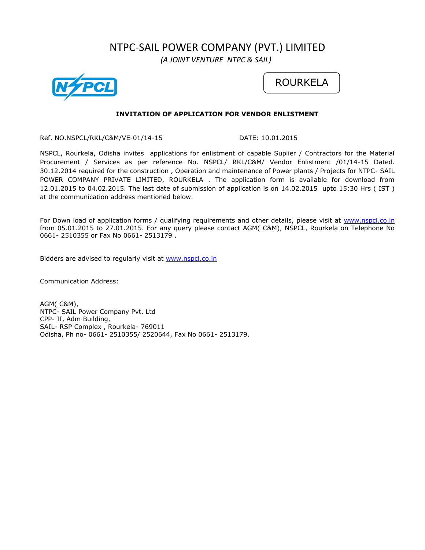# NTPC-SAIL POWER COMPANY (PVT.) LIMITED

 *(A JOINT VENTURE NTPC & SAIL)*





# **INVITATION OF APPLICATION FOR VENDOR ENLISTMENT**

Ref. NO.NSPCL/RKL/C&M/VE-01/14-15 DATE: 10.01.2015

NSPCL, Rourkela, Odisha invites applications for enlistment of capable Suplier / Contractors for the Material Procurement / Services as per reference No. NSPCL/ RKL/C&M/ Vendor Enlistment /01/14-15 Dated. 30.12.2014 required for the construction , Operation and maintenance of Power plants / Projects for NTPC- SAIL POWER COMPANY PRIVATE LIMITED, ROURKELA . The application form is available for download from 12.01.2015 to 04.02.2015. The last date of submission of application is on 14.02.2015 upto 15:30 Hrs ( IST ) at the communication address mentioned below.

For Down load of application forms / qualifying requirements and other details, please visit at [www.nspcl.co.in](http://www.nspcl.co.in/) from 05.01.2015 to 27.01.2015. For any query please contact AGM( C&M), NSPCL, Rourkela on Telephone No 0661- 2510355 or Fax No 0661- 2513179 .

Bidders are advised to regularly visit at [www.nspcl.co.in](http://www.nspcl.co.in/)

Communication Address:

AGM( C&M), NTPC- SAIL Power Company Pvt. Ltd CPP- II, Adm Building, SAIL- RSP Complex , Rourkela- 769011 Odisha, Ph no- 0661- 2510355/ 2520644, Fax No 0661- 2513179.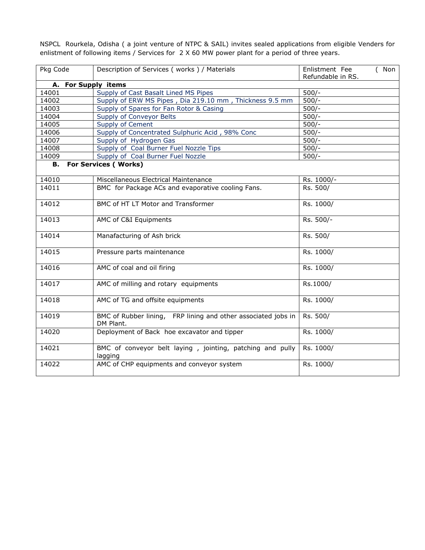NSPCL Rourkela, Odisha ( a joint venture of NTPC & SAIL) invites sealed applications from eligible Venders for enlistment of following items / Services for 2 X 60 MW power plant for a period of three years.

| Pkg Code | Description of Services (works) / Materials                                | Enlistment Fee<br>(Non<br>Refundable in RS. |  |
|----------|----------------------------------------------------------------------------|---------------------------------------------|--|
| А.       | <b>For Supply items</b>                                                    |                                             |  |
| 14001    | Supply of Cast Basalt Lined MS Pipes                                       | $500/-$                                     |  |
| 14002    | Supply of ERW MS Pipes, Dia 219.10 mm, Thickness 9.5 mm                    | $500/-$                                     |  |
| 14003    | Supply of Spares for Fan Rotor & Casing                                    | $500/-$                                     |  |
| 14004    | Supply of Conveyor Belts                                                   | $500/-$                                     |  |
| 14005    | Supply of Cement                                                           | $500/-$                                     |  |
| 14006    | Supply of Concentrated Sulphuric Acid, 98% Conc                            | $500/-$                                     |  |
| 14007    | Supply of Hydrogen Gas                                                     | $500/-$                                     |  |
| 14008    | Supply of Coal Burner Fuel Nozzle Tips                                     | $500/-$                                     |  |
| 14009    | Supply of Coal Burner Fuel Nozzle                                          | $500/-$                                     |  |
| В.       | <b>For Services (Works)</b>                                                |                                             |  |
| 14010    | Miscellaneous Electrical Maintenance                                       | Rs. 1000/-                                  |  |
| 14011    | BMC for Package ACs and evaporative cooling Fans.                          | Rs. 500/                                    |  |
| 14012    | BMC of HT LT Motor and Transformer                                         | Rs. 1000/                                   |  |
| 14013    | AMC of C&I Equipments                                                      | Rs. 500/-                                   |  |
| 14014    | Manafacturing of Ash brick                                                 | Rs. 500/                                    |  |
| 14015    | Pressure parts maintenance                                                 | Rs. 1000/                                   |  |
| 14016    | AMC of coal and oil firing                                                 | Rs. 1000/                                   |  |
| 14017    | AMC of milling and rotary equipments                                       | Rs.1000/                                    |  |
| 14018    | AMC of TG and offsite equipments                                           | Rs. 1000/                                   |  |
| 14019    | BMC of Rubber lining, FRP lining and other associated jobs in<br>DM Plant. | Rs. 500/                                    |  |
| 14020    | Deployment of Back hoe excavator and tipper                                | Rs. 1000/                                   |  |
| 14021    | BMC of conveyor belt laying, jointing, patching and pully<br>lagging       | Rs. 1000/                                   |  |
| 14022    | AMC of CHP equipments and conveyor system                                  | Rs. 1000/                                   |  |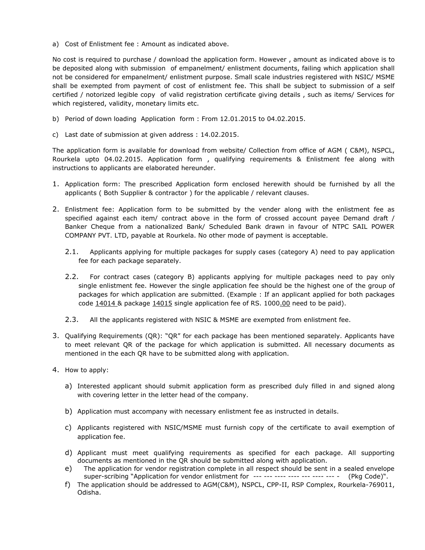a) Cost of Enlistment fee : Amount as indicated above.

No cost is required to purchase / download the application form. However , amount as indicated above is to be deposited along with submission of empanelment/ enlistment documents, failing which application shall not be considered for empanelment/ enlistment purpose. Small scale industries registered with NSIC/ MSME shall be exempted from payment of cost of enlistment fee. This shall be subject to submission of a self certified / notorized legible copy of valid registration certificate giving details , such as items/ Services for which registered, validity, monetary limits etc.

- b) Period of down loading Application form : From 12.01.2015 to 04.02.2015.
- c) Last date of submission at given address : 14.02.2015.

The application form is available for download from website/ Collection from office of AGM ( C&M), NSPCL, Rourkela upto 04.02.2015. Application form , qualifying requirements & Enlistment fee along with instructions to applicants are elaborated hereunder.

- 1. Application form: The prescribed Application form enclosed herewith should be furnished by all the applicants ( Both Supplier & contractor ) for the applicable / relevant clauses.
- 2. Enlistment fee: Application form to be submitted by the vender along with the enlistment fee as specified against each item/ contract above in the form of crossed account payee Demand draft / Banker Cheque from a nationalized Bank/ Scheduled Bank drawn in favour of NTPC SAIL POWER COMPANY PVT. LTD, payable at Rourkela. No other mode of payment is acceptable.
	- 2.1. Applicants applying for multiple packages for supply cases (category A) need to pay application fee for each package separately.
	- 2.2. For contract cases (category B) applicants applying for multiple packages need to pay only single enlistment fee. However the single application fee should be the highest one of the group of packages for which application are submitted. (Example : If an applicant applied for both packages code 14014 & package 14015 single application fee of RS. 1000.00 need to be paid).
	- 2.3. All the applicants registered with NSIC & MSME are exempted from enlistment fee.
- 3. Qualifying Requirements (QR): "QR" for each package has been mentioned separately. Applicants have to meet relevant QR of the package for which application is submitted. All necessary documents as mentioned in the each QR have to be submitted along with application.
- 4. How to apply:
	- a) Interested applicant should submit application form as prescribed duly filled in and signed along with covering letter in the letter head of the company.
	- b) Application must accompany with necessary enlistment fee as instructed in details.
	- c) Applicants registered with NSIC/MSME must furnish copy of the certificate to avail exemption of application fee.
	- d) Applicant must meet qualifying requirements as specified for each package. All supporting documents as mentioned in the QR should be submitted along with application.
	- e) The application for vendor registration complete in all respect should be sent in a sealed envelope super-scribing "Application for vendor enlistment for --- --- ---- ---- --- ---- --- - (Pkg Code)".
	- f) The application should be addressed to AGM(C&M), NSPCL, CPP-II, RSP Complex, Rourkela-769011, Odisha.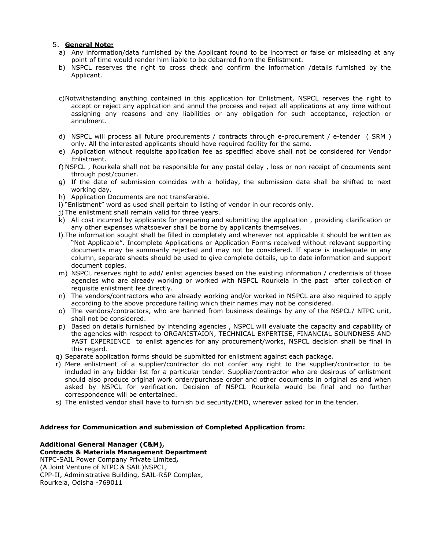# 5. **General Note:**

- a) Any information/data furnished by the Applicant found to be incorrect or false or misleading at any point of time would render him liable to be debarred from the Enlistment.
- b) NSPCL reserves the right to cross check and confirm the information /details furnished by the Applicant.
- c)Notwithstanding anything contained in this application for Enlistment, NSPCL reserves the right to accept or reject any application and annul the process and reject all applications at any time without assigning any reasons and any liabilities or any obligation for such acceptance, rejection or annulment.
- d) NSPCL will process all future procurements / contracts through e-procurement / e-tender ( SRM ) only. All the interested applicants should have required facility for the same.
- e) Application without requisite application fee as specified above shall not be considered for Vendor Enlistment.
- f) NSPCL , Rourkela shall not be responsible for any postal delay , loss or non receipt of documents sent through post/courier.
- g) If the date of submission coincides with a holiday, the submission date shall be shifted to next working day.
- h) Application Documents are not transferable.
- i) "Enlistment" word as used shall pertain to listing of vendor in our records only.
- j) The enlistment shall remain valid for three years.
- k) All cost incurred by applicants for preparing and submitting the application , providing clarification or any other expenses whatsoever shall be borne by applicants themselves.
- l) The information sought shall be filled in completely and wherever not applicable it should be written as "Not Applicable". Incomplete Applications or Application Forms received without relevant supporting documents may be summarily rejected and may not be considered. If space is inadequate in any column, separate sheets should be used to give complete details, up to date information and support document copies.
- m) NSPCL reserves right to add/ enlist agencies based on the existing information / credentials of those agencies who are already working or worked with NSPCL Rourkela in the past after collection of requisite enlistment fee directly.
- n) The vendors/contractors who are already working and/or worked in NSPCL are also required to apply according to the above procedure failing which their names may not be considered.
- o) The vendors/contractors, who are banned from business dealings by any of the NSPCL/ NTPC unit, shall not be considered.
- p) Based on details furnished by intending agencies , NSPCL will evaluate the capacity and capability of the agencies with respect to ORGANISTAION, TECHNICAL EXPERTISE, FINANCIAL SOUNDNESS AND PAST EXPERIENCE to enlist agencies for any procurement/works, NSPCL decision shall be final in this regard.
- q) Separate application forms should be submitted for enlistment against each package.
- r) Mere enlistment of a supplier/contractor do not confer any right to the supplier/contractor to be included in any bidder list for a particular tender. Supplier/contractor who are desirous of enlistment should also produce original work order/purchase order and other documents in original as and when asked by NSPCL for verification. Decision of NSPCL Rourkela would be final and no further correspondence will be entertained.
- s) The enlisted vendor shall have to furnish bid security/EMD, wherever asked for in the tender.

# **Address for Communication and submission of Completed Application from:**

# **Additional General Manager (C&M),**

**Contracts & Materials Management Department** NTPC-SAIL Power Company Private Limited**,** (A Joint Venture of NTPC & SAIL)NSPCL, CPP-II, Administrative Building, SAIL-RSP Complex, Rourkela, Odisha -769011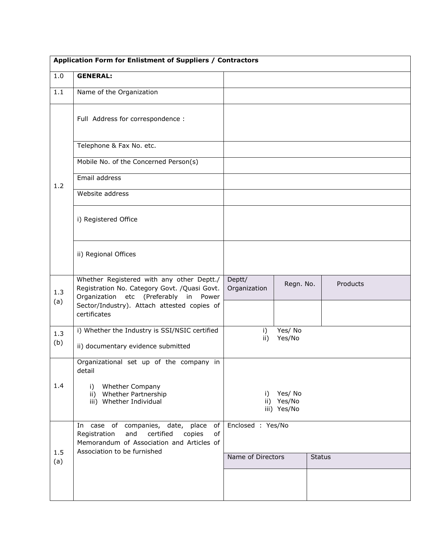|            | Application Form for Enlistment of Suppliers / Contractors                                                                                  |                        |                           |               |          |  |
|------------|---------------------------------------------------------------------------------------------------------------------------------------------|------------------------|---------------------------|---------------|----------|--|
| 1.0        | <b>GENERAL:</b>                                                                                                                             |                        |                           |               |          |  |
| 1.1        | Name of the Organization                                                                                                                    |                        |                           |               |          |  |
|            | Full Address for correspondence :                                                                                                           |                        |                           |               |          |  |
|            | Telephone & Fax No. etc.                                                                                                                    |                        |                           |               |          |  |
| 1.2        | Mobile No. of the Concerned Person(s)                                                                                                       |                        |                           |               |          |  |
|            | Email address                                                                                                                               |                        |                           |               |          |  |
|            | Website address                                                                                                                             |                        |                           |               |          |  |
|            | i) Registered Office                                                                                                                        |                        |                           |               |          |  |
|            | ii) Regional Offices                                                                                                                        |                        |                           |               |          |  |
| 1.3<br>(a) | Whether Registered with any other Deptt./<br>Registration No. Category Govt. / Quasi Govt.<br>Organization etc (Preferably in Power         | Deptt/<br>Organization | Regn. No.                 |               | Products |  |
|            | Sector/Industry). Attach attested copies of<br>certificates                                                                                 |                        |                           |               |          |  |
| 1.3        | i) Whether the Industry is SSI/NSIC certified                                                                                               | i)<br>ii)              | Yes/No<br>Yes/No          |               |          |  |
| (b)        | ii) documentary evidence submitted                                                                                                          |                        |                           |               |          |  |
|            | Organizational set up of the company in<br>detail                                                                                           |                        |                           |               |          |  |
| 1.4        | <b>Whether Company</b><br>i)<br>ii) Whether Partnership                                                                                     | i)                     | Yes/ No                   |               |          |  |
|            | iii) Whether Individual                                                                                                                     |                        | ii) Yes/No<br>iii) Yes/No |               |          |  |
|            | case of companies, date, place<br>of<br>In<br>certified<br>of<br>Registration<br>and<br>copies<br>Memorandum of Association and Articles of | Enclosed : Yes/No      |                           |               |          |  |
| 1.5<br>(a) | Association to be furnished                                                                                                                 | Name of Directors      |                           | <b>Status</b> |          |  |
|            |                                                                                                                                             |                        |                           |               |          |  |
|            |                                                                                                                                             |                        |                           |               |          |  |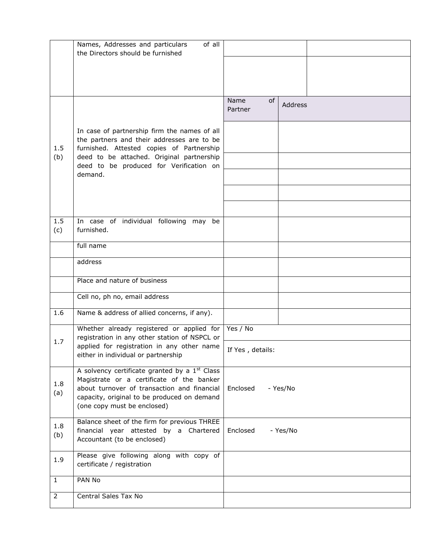|                | Names, Addresses and particulars<br>of all<br>the Directors should be furnished                                                                                                                                                     |                       |          |  |  |
|----------------|-------------------------------------------------------------------------------------------------------------------------------------------------------------------------------------------------------------------------------------|-----------------------|----------|--|--|
|                |                                                                                                                                                                                                                                     |                       |          |  |  |
|                |                                                                                                                                                                                                                                     |                       |          |  |  |
|                |                                                                                                                                                                                                                                     | Name<br>0f<br>Partner | Address  |  |  |
| 1.5            | In case of partnership firm the names of all<br>the partners and their addresses are to be<br>furnished. Attested copies of Partnership                                                                                             |                       |          |  |  |
| (b)            | deed to be attached. Original partnership<br>deed to be produced for Verification on<br>demand.                                                                                                                                     |                       |          |  |  |
|                |                                                                                                                                                                                                                                     |                       |          |  |  |
|                |                                                                                                                                                                                                                                     |                       |          |  |  |
| 1.5<br>(c)     | In case of individual following may be<br>furnished.                                                                                                                                                                                |                       |          |  |  |
|                | full name                                                                                                                                                                                                                           |                       |          |  |  |
|                | address                                                                                                                                                                                                                             |                       |          |  |  |
|                | Place and nature of business                                                                                                                                                                                                        |                       |          |  |  |
|                | Cell no, ph no, email address                                                                                                                                                                                                       |                       |          |  |  |
| 1.6            | Name & address of allied concerns, if any).                                                                                                                                                                                         |                       |          |  |  |
|                | Whether already registered or applied for<br>registration in any other station of NSPCL or                                                                                                                                          | Yes / No              |          |  |  |
| 1.7            | applied for registration in any other name<br>either in individual or partnership                                                                                                                                                   | If Yes, details:      |          |  |  |
| 1.8<br>(a)     | A solvency certificate granted by a 1 <sup>st</sup> Class<br>Magistrate or a certificate of the banker<br>about turnover of transaction and financial<br>capacity, original to be produced on demand<br>(one copy must be enclosed) | Enclosed              | - Yes/No |  |  |
| 1.8<br>(b)     | Balance sheet of the firm for previous THREE<br>financial year attested by a Chartered<br>Accountant (to be enclosed)                                                                                                               | Enclosed<br>- Yes/No  |          |  |  |
| 1.9            | Please give following along with copy of<br>certificate / registration                                                                                                                                                              |                       |          |  |  |
| $\mathbf{1}$   | PAN No                                                                                                                                                                                                                              |                       |          |  |  |
| $\overline{2}$ | Central Sales Tax No                                                                                                                                                                                                                |                       |          |  |  |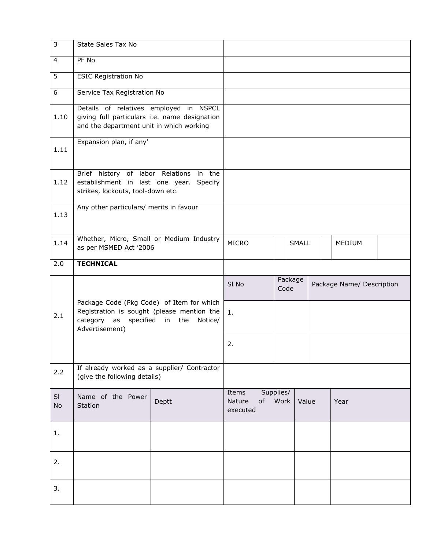| $\mathbf{3}$    | State Sales Tax No                                                                                                                        |       |                             |    |                                              |       |        |      |  |
|-----------------|-------------------------------------------------------------------------------------------------------------------------------------------|-------|-----------------------------|----|----------------------------------------------|-------|--------|------|--|
| $\overline{4}$  | PF No                                                                                                                                     |       |                             |    |                                              |       |        |      |  |
| $\overline{5}$  | <b>ESIC Registration No</b>                                                                                                               |       |                             |    |                                              |       |        |      |  |
| 6               | Service Tax Registration No                                                                                                               |       |                             |    |                                              |       |        |      |  |
| 1.10            | Details of relatives employed in NSPCL<br>giving full particulars i.e. name designation<br>and the department unit in which working       |       |                             |    |                                              |       |        |      |  |
| 1.11            | Expansion plan, if any'                                                                                                                   |       |                             |    |                                              |       |        |      |  |
| 1.12            | Brief history of labor Relations in the<br>establishment in last one year. Specify<br>strikes, lockouts, tool-down etc.                   |       |                             |    |                                              |       |        |      |  |
| 1.13            | Any other particulars/ merits in favour                                                                                                   |       |                             |    |                                              |       |        |      |  |
| 1.14            | Whether, Micro, Small or Medium Industry<br>as per MSMED Act '2006                                                                        |       | <b>MICRO</b>                |    | <b>SMALL</b>                                 |       | MEDIUM |      |  |
| 2.0             | <b>TECHNICAL</b>                                                                                                                          |       |                             |    |                                              |       |        |      |  |
|                 |                                                                                                                                           |       | SI <sub>No</sub>            |    | Package<br>Package Name/ Description<br>Code |       |        |      |  |
| 2.1             | Package Code (Pkg Code) of Item for which<br>Registration is sought (please mention the<br>category as specified in the<br>Advertisement) | 1.    |                             |    |                                              |       |        |      |  |
|                 |                                                                                                                                           |       | 2.                          |    |                                              |       |        |      |  |
| 2.2             | If already worked as a supplier/ Contractor<br>(give the following details)                                                               |       |                             |    |                                              |       |        |      |  |
| SI<br><b>No</b> | Name of the Power<br>Station                                                                                                              | Deptt | Items<br>Nature<br>executed | of | Supplies/<br>Work                            | Value |        | Year |  |
| 1.              |                                                                                                                                           |       |                             |    |                                              |       |        |      |  |
| 2.              |                                                                                                                                           |       |                             |    |                                              |       |        |      |  |
| 3.              |                                                                                                                                           |       |                             |    |                                              |       |        |      |  |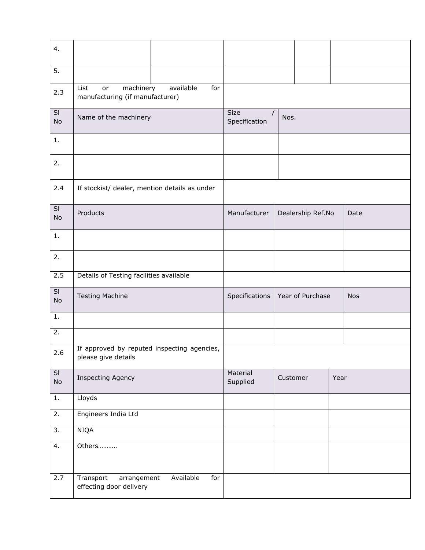| 4.                                        |                                                                    |                                          |                      |          |                   |      |            |
|-------------------------------------------|--------------------------------------------------------------------|------------------------------------------|----------------------|----------|-------------------|------|------------|
| 5.                                        |                                                                    |                                          |                      |          |                   |      |            |
| 2.3                                       | machinery<br>List<br>or<br>manufacturing (if manufacturer)         | available<br>for                         |                      |          |                   |      |            |
| SI<br>No                                  | Name of the machinery                                              | <b>Size</b><br>$\prime$<br>Specification | Nos.                 |          |                   |      |            |
| 1.                                        |                                                                    |                                          |                      |          |                   |      |            |
| 2.                                        |                                                                    |                                          |                      |          |                   |      |            |
| 2.4                                       | If stockist/ dealer, mention details as under                      |                                          |                      |          |                   |      |            |
| SI<br>No                                  | Products                                                           |                                          | Manufacturer         |          | Dealership Ref.No |      | Date       |
| 1.                                        |                                                                    |                                          |                      |          |                   |      |            |
| 2.                                        |                                                                    |                                          |                      |          |                   |      |            |
| 2.5                                       | Details of Testing facilities available                            |                                          |                      |          |                   |      |            |
| $\overline{\mathsf{S}}$<br>No             | <b>Testing Machine</b>                                             |                                          | Specifications       |          | Year of Purchase  |      | <b>Nos</b> |
| 1.                                        |                                                                    |                                          |                      |          |                   |      |            |
| 2.                                        |                                                                    |                                          |                      |          |                   |      |            |
| 2.6                                       | If approved by reputed inspecting agencies,<br>please give details |                                          |                      |          |                   |      |            |
| $\overline{\mathsf{SI}}$<br>$\mathsf{No}$ | <b>Inspecting Agency</b>                                           |                                          | Material<br>Supplied | Customer |                   | Year |            |
| $1. \,$                                   | Lloyds                                                             |                                          |                      |          |                   |      |            |
| 2.                                        | Engineers India Ltd                                                |                                          |                      |          |                   |      |            |
| $\overline{3}$ .                          | <b>NIQA</b>                                                        |                                          |                      |          |                   |      |            |
| 4.                                        | Others                                                             |                                          |                      |          |                   |      |            |
| 2.7                                       | Transport<br>arrangement<br>effecting door delivery                | Available<br>for                         |                      |          |                   |      |            |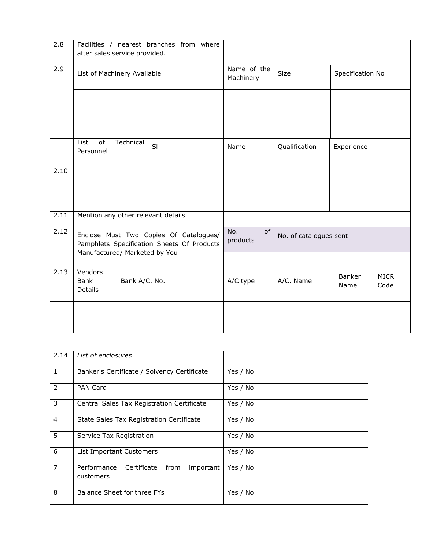| $\overline{2.8}$  | after sales service provided.                                                                                         |               | Facilities / nearest branches from where |                                 |               |                |                     |
|-------------------|-----------------------------------------------------------------------------------------------------------------------|---------------|------------------------------------------|---------------------------------|---------------|----------------|---------------------|
| 2.9               | List of Machinery Available                                                                                           |               | Name of the<br>Machinery                 | Specification No<br><b>Size</b> |               |                |                     |
|                   |                                                                                                                       |               |                                          |                                 |               |                |                     |
|                   |                                                                                                                       |               |                                          |                                 |               |                |                     |
|                   |                                                                                                                       |               |                                          |                                 |               |                |                     |
|                   | of<br>List<br>Personnel                                                                                               | Technical     | SI                                       | Name                            | Qualification | Experience     |                     |
| 2.10              |                                                                                                                       |               |                                          |                                 |               |                |                     |
|                   |                                                                                                                       |               |                                          |                                 |               |                |                     |
|                   |                                                                                                                       |               |                                          |                                 |               |                |                     |
| 2.11              | Mention any other relevant details                                                                                    |               |                                          |                                 |               |                |                     |
| 2.12              | Enclose Must Two Copies Of Catalogues/<br>Pamphlets Specification Sheets Of Products<br>Manufactured/ Marketed by You |               | No.<br>of<br>products                    | No. of catalogues sent          |               |                |                     |
|                   |                                                                                                                       |               |                                          |                                 |               |                |                     |
| $\overline{2.13}$ | Vendors<br><b>Bank</b><br><b>Details</b>                                                                              | Bank A/C. No. |                                          | A/C type                        | A/C. Name     | Banker<br>Name | <b>MICR</b><br>Code |
|                   |                                                                                                                       |               |                                          |                                 |               |                |                     |

| 2.14           | List of enclosures                                           |          |
|----------------|--------------------------------------------------------------|----------|
| $\mathbf{1}$   | Banker's Certificate / Solvency Certificate                  | Yes / No |
| 2              | <b>PAN Card</b>                                              | Yes / No |
| 3              | Central Sales Tax Registration Certificate                   | Yes / No |
| $\overline{4}$ | State Sales Tax Registration Certificate                     | Yes / No |
| 5              | Service Tax Registration                                     | Yes / No |
| 6              | List Important Customers                                     | Yes / No |
| $\overline{7}$ | Performance<br>important<br>Certificate<br>from<br>customers | Yes / No |
| 8              | Balance Sheet for three FYs                                  | Yes / No |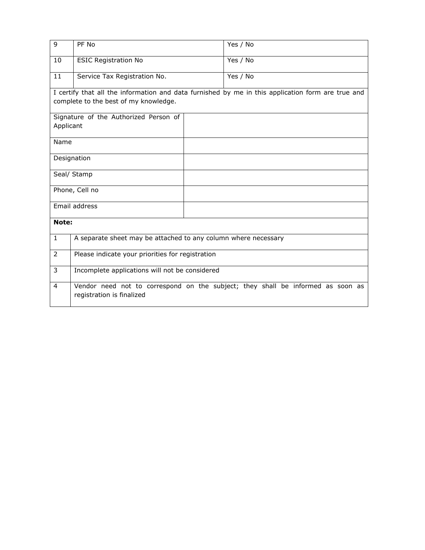| 9              | PF No                                                          | Yes / No                                                                                          |  |  |  |  |
|----------------|----------------------------------------------------------------|---------------------------------------------------------------------------------------------------|--|--|--|--|
| 10             | <b>ESIC Registration No</b>                                    | Yes / No                                                                                          |  |  |  |  |
| 11             | Service Tax Registration No.                                   | Yes / No                                                                                          |  |  |  |  |
|                | complete to the best of my knowledge.                          | I certify that all the information and data furnished by me in this application form are true and |  |  |  |  |
|                |                                                                |                                                                                                   |  |  |  |  |
|                | Signature of the Authorized Person of                          |                                                                                                   |  |  |  |  |
| Applicant      |                                                                |                                                                                                   |  |  |  |  |
| Name           |                                                                |                                                                                                   |  |  |  |  |
|                | Designation                                                    |                                                                                                   |  |  |  |  |
|                | Seal/ Stamp                                                    |                                                                                                   |  |  |  |  |
|                | Phone, Cell no                                                 |                                                                                                   |  |  |  |  |
|                | Email address                                                  |                                                                                                   |  |  |  |  |
| Note:          |                                                                |                                                                                                   |  |  |  |  |
| $\mathbf{1}$   | A separate sheet may be attached to any column where necessary |                                                                                                   |  |  |  |  |
| $\overline{2}$ | Please indicate your priorities for registration               |                                                                                                   |  |  |  |  |
| 3              | Incomplete applications will not be considered                 |                                                                                                   |  |  |  |  |
| $\overline{4}$ | registration is finalized                                      | Vendor need not to correspond on the subject; they shall be informed as soon as                   |  |  |  |  |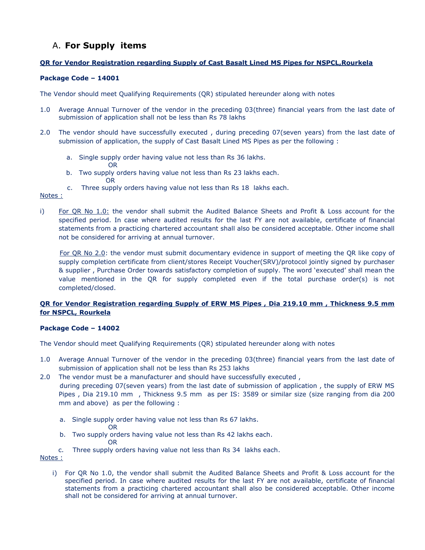# A. **For Supply items**

OR

# **QR for Vendor Registration regarding Supply of Cast Basalt Lined MS Pipes for NSPCL,Rourkela**

# **Package Code – 14001**

The Vendor should meet Qualifying Requirements (QR) stipulated hereunder along with notes

- 1.0 Average Annual Turnover of the vendor in the preceding 03(three) financial years from the last date of submission of application shall not be less than Rs 78 lakhs
- 2.0 The vendor should have successfully executed , during preceding 07(seven years) from the last date of submission of application, the supply of Cast Basalt Lined MS Pipes as per the following :
	- a. Single supply order having value not less than Rs 36 lakhs. OR
	- b. Two supply orders having value not less than Rs 23 lakhs each.
	- c. Three supply orders having value not less than Rs 18 lakhs each.

#### Notes :

i) For QR No 1.0: the vendor shall submit the Audited Balance Sheets and Profit & Loss account for the specified period. In case where audited results for the last FY are not available, certificate of financial statements from a practicing chartered accountant shall also be considered acceptable. Other income shall not be considered for arriving at annual turnover.

 For QR No 2.0: the vendor must submit documentary evidence in support of meeting the QR like copy of supply completion certificate from client/stores Receipt Voucher(SRV)/protocol jointly signed by purchaser & supplier , Purchase Order towards satisfactory completion of supply. The word 'executed' shall mean the value mentioned in the QR for supply completed even if the total purchase order(s) is not completed/closed.

# **QR for Vendor Registration regarding Supply of ERW MS Pipes , Dia 219.10 mm , Thickness 9.5 mm for NSPCL, Rourkela**

# **Package Code – 14002**

The Vendor should meet Qualifying Requirements (QR) stipulated hereunder along with notes

- 1.0 Average Annual Turnover of the vendor in the preceding 03(three) financial years from the last date of submission of application shall not be less than Rs 253 lakhs
- 2.0 The vendor must be a manufacturer and should have successfully executed , during preceding 07(seven years) from the last date of submission of application , the supply of ERW MS Pipes , Dia 219.10 mm , Thickness 9.5 mm as per IS: 3589 or similar size (size ranging from dia 200 mm and above) as per the following :
	- a. Single supply order having value not less than Rs 67 lakhs.
		- OR
- b. Two supply orders having value not less than Rs 42 lakhs each. **ORIGINAL CORPORATION CORPORATION CORPORATION CORPORATION CORPORATION CORPORATION CORPORATION CORPORATION CORP** 
	- c. Three supply orders having value not less than Rs 34 lakhs each.

#### Notes :

i) For QR No 1.0, the vendor shall submit the Audited Balance Sheets and Profit & Loss account for the specified period. In case where audited results for the last FY are not available, certificate of financial statements from a practicing chartered accountant shall also be considered acceptable. Other income shall not be considered for arriving at annual turnover.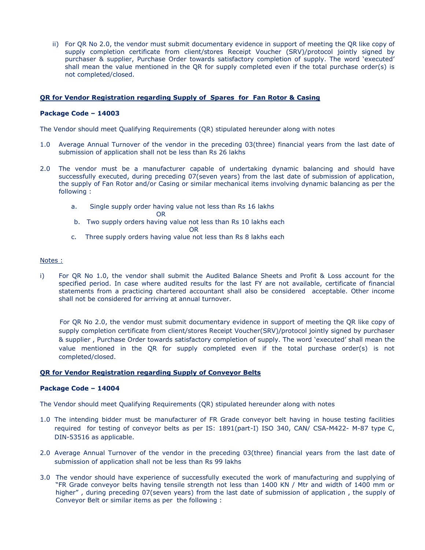ii) For QR No 2.0, the vendor must submit documentary evidence in support of meeting the QR like copy of supply completion certificate from client/stores Receipt Voucher (SRV)/protocol jointly signed by purchaser & supplier, Purchase Order towards satisfactory completion of supply. The word 'executed' shall mean the value mentioned in the QR for supply completed even if the total purchase order(s) is not completed/closed.

#### **QR for Vendor Registration regarding Supply of Spares for Fan Rotor & Casing**

#### **Package Code – 14003**

The Vendor should meet Qualifying Requirements (QR) stipulated hereunder along with notes

- 1.0 Average Annual Turnover of the vendor in the preceding 03(three) financial years from the last date of submission of application shall not be less than Rs 26 lakhs
- 2.0 The vendor must be a manufacturer capable of undertaking dynamic balancing and should have successfully executed, during preceding 07(seven years) from the last date of submission of application, the supply of Fan Rotor and/or Casing or similar mechanical items involving dynamic balancing as per the following :
	- a. Single supply order having value not less than Rs 16 lakhs
- **OR** Service of the state of the state of the state of the state of the state of the state of the state of the state of the state of the state of the state of the state of the state of the state of the state of the state o b. Two supply orders having value not less than Rs 10 lakhs each **OR** Service of the contract of the contract of the contract of the contract of the contract of the contract of
	- c. Three supply orders having value not less than Rs 8 lakhs each

#### Notes :

i) For QR No 1.0, the vendor shall submit the Audited Balance Sheets and Profit & Loss account for the specified period. In case where audited results for the last FY are not available, certificate of financial statements from a practicing chartered accountant shall also be considered acceptable. Other income shall not be considered for arriving at annual turnover.

 For QR No 2.0, the vendor must submit documentary evidence in support of meeting the QR like copy of supply completion certificate from client/stores Receipt Voucher(SRV)/protocol jointly signed by purchaser & supplier , Purchase Order towards satisfactory completion of supply. The word 'executed' shall mean the value mentioned in the QR for supply completed even if the total purchase order(s) is not completed/closed.

#### **QR for Vendor Registration regarding Supply of Conveyor Belts**

#### **Package Code – 14004**

- 1.0 The intending bidder must be manufacturer of FR Grade conveyor belt having in house testing facilities required for testing of conveyor belts as per IS: 1891(part-I) ISO 340, CAN/ CSA-M422- M-87 type C, DIN-53516 as applicable.
- 2.0 Average Annual Turnover of the vendor in the preceding 03(three) financial years from the last date of submission of application shall not be less than Rs 99 lakhs
- 3.0 The vendor should have experience of successfully executed the work of manufacturing and supplying of "FR Grade conveyor belts having tensile strength not less than 1400 KN / Mtr and width of 1400 mm or higher", during preceding 07(seven years) from the last date of submission of application, the supply of Conveyor Belt or similar items as per the following :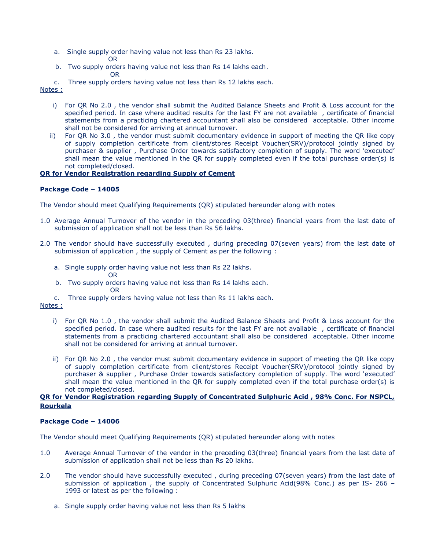- a. Single supply order having value not less than Rs 23 lakhs. OR
- b. Two supply orders having value not less than Rs 14 lakhs each. **ORIGINAL CONTRACT CONTRACT ORIGINAL**

c. Three supply orders having value not less than Rs 12 lakhs each.

#### Notes :

- i) For QR No 2.0 , the vendor shall submit the Audited Balance Sheets and Profit & Loss account for the specified period. In case where audited results for the last FY are not available , certificate of financial statements from a practicing chartered accountant shall also be considered acceptable. Other income shall not be considered for arriving at annual turnover.
- ii) For QR No 3.0 , the vendor must submit documentary evidence in support of meeting the QR like copy of supply completion certificate from client/stores Receipt Voucher(SRV)/protocol jointly signed by purchaser & supplier , Purchase Order towards satisfactory completion of supply. The word 'executed' shall mean the value mentioned in the QR for supply completed even if the total purchase order(s) is not completed/closed.

# **QR for Vendor Registration regarding Supply of Cement**

# **Package Code – 14005**

The Vendor should meet Qualifying Requirements (QR) stipulated hereunder along with notes

- 1.0 Average Annual Turnover of the vendor in the preceding 03(three) financial years from the last date of submission of application shall not be less than Rs 56 lakhs.
- 2.0 The vendor should have successfully executed , during preceding 07(seven years) from the last date of submission of application , the supply of Cement as per the following :
	- a. Single supply order having value not less than Rs 22 lakhs. OR
- b. Two supply orders having value not less than Rs 14 lakhs each. **ORIGINAL CONTRACT CONTRACT OR** 
	- c. Three supply orders having value not less than Rs 11 lakhs each.
- Notes :
	- i) For QR No 1.0 , the vendor shall submit the Audited Balance Sheets and Profit & Loss account for the specified period. In case where audited results for the last FY are not available , certificate of financial statements from a practicing chartered accountant shall also be considered acceptable. Other income shall not be considered for arriving at annual turnover.
	- ii) For QR No 2.0 , the vendor must submit documentary evidence in support of meeting the QR like copy of supply completion certificate from client/stores Receipt Voucher(SRV)/protocol jointly signed by purchaser & supplier , Purchase Order towards satisfactory completion of supply. The word 'executed' shall mean the value mentioned in the QR for supply completed even if the total purchase order(s) is not completed/closed.

#### **QR for Vendor Registration regarding Supply of Concentrated Sulphuric Acid , 98% Conc. For NSPCL, Rourkela**

# **Package Code – 14006**

- 1.0 Average Annual Turnover of the vendor in the preceding 03(three) financial years from the last date of submission of application shall not be less than Rs 20 lakhs.
- 2.0 The vendor should have successfully executed, during preceding 07(seven years) from the last date of submission of application , the supply of Concentrated Sulphuric Acid(98% Conc.) as per IS- 266 – 1993 or latest as per the following :
	- a. Single supply order having value not less than Rs 5 lakhs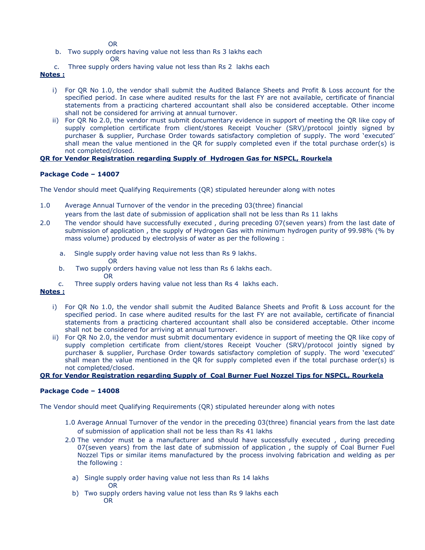OR

- b. Two supply orders having value not less than Rs 3 lakhs each
- **ORIGINAL CONTRACT CONTRACT OR** 
	- c. Three supply orders having value not less than Rs 2 lakhs each

**Notes :**

- i) For QR No 1.0, the vendor shall submit the Audited Balance Sheets and Profit & Loss account for the specified period. In case where audited results for the last FY are not available, certificate of financial statements from a practicing chartered accountant shall also be considered acceptable. Other income shall not be considered for arriving at annual turnover.
- ii) For QR No 2.0, the vendor must submit documentary evidence in support of meeting the QR like copy of supply completion certificate from client/stores Receipt Voucher (SRV)/protocol jointly signed by purchaser & supplier, Purchase Order towards satisfactory completion of supply. The word 'executed' shall mean the value mentioned in the QR for supply completed even if the total purchase order(s) is not completed/closed.

# **QR for Vendor Registration regarding Supply of Hydrogen Gas for NSPCL, Rourkela**

# **Package Code – 14007**

The Vendor should meet Qualifying Requirements (QR) stipulated hereunder along with notes

- 1.0 Average Annual Turnover of the vendor in the preceding 03(three) financial years from the last date of submission of application shall not be less than Rs 11 lakhs
- 2.0 The vendor should have successfully executed, during preceding 07(seven years) from the last date of submission of application , the supply of Hydrogen Gas with minimum hydrogen purity of 99.98% (% by mass volume) produced by electrolysis of water as per the following :
	- a. Single supply order having value not less than Rs 9 lakhs. OR
	- b. Two supply orders having value not less than Rs 6 lakhs each. OR
	- c. Three supply orders having value not less than Rs 4 lakhs each.

# **Notes :**

- i) For QR No 1.0, the vendor shall submit the Audited Balance Sheets and Profit & Loss account for the specified period. In case where audited results for the last FY are not available, certificate of financial statements from a practicing chartered accountant shall also be considered acceptable. Other income shall not be considered for arriving at annual turnover.
- ii) For QR No 2.0, the vendor must submit documentary evidence in support of meeting the QR like copy of supply completion certificate from client/stores Receipt Voucher (SRV)/protocol jointly signed by purchaser & supplier, Purchase Order towards satisfactory completion of supply. The word 'executed' shall mean the value mentioned in the QR for supply completed even if the total purchase order(s) is not completed/closed.

# **QR for Vendor Registration regarding Supply of Coal Burner Fuel Nozzel Tips for NSPCL, Rourkela**

# **Package Code – 14008**

- 1.0 Average Annual Turnover of the vendor in the preceding 03(three) financial years from the last date of submission of application shall not be less than Rs 41 lakhs
- 2.0 The vendor must be a manufacturer and should have successfully executed , during preceding 07(seven years) from the last date of submission of application, the supply of Coal Burner Fuel Nozzel Tips or similar items manufactured by the process involving fabrication and welding as per the following :
	- a) Single supply order having value not less than Rs 14 lakhs OR
	- b) Two supply orders having value not less than Rs 9 lakhs each OR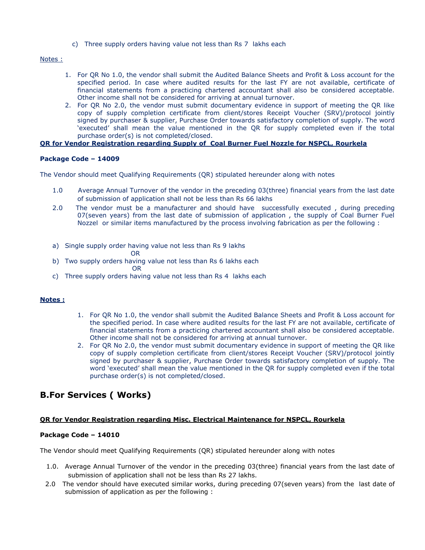c) Three supply orders having value not less than Rs 7 lakhs each

Notes :

- 1. For QR No 1.0, the vendor shall submit the Audited Balance Sheets and Profit & Loss account for the specified period. In case where audited results for the last FY are not available, certificate of financial statements from a practicing chartered accountant shall also be considered acceptable. Other income shall not be considered for arriving at annual turnover.
- 2. For QR No 2.0, the vendor must submit documentary evidence in support of meeting the QR like copy of supply completion certificate from client/stores Receipt Voucher (SRV)/protocol jointly signed by purchaser & supplier, Purchase Order towards satisfactory completion of supply. The word 'executed' shall mean the value mentioned in the QR for supply completed even if the total purchase order(s) is not completed/closed.

# **QR for Vendor Registration regarding Supply of Coal Burner Fuel Nozzle for NSPCL, Rourkela**

# **Package Code – 14009**

The Vendor should meet Qualifying Requirements (QR) stipulated hereunder along with notes

- 1.0 Average Annual Turnover of the vendor in the preceding 03(three) financial years from the last date of submission of application shall not be less than Rs 66 lakhs
- 2.0 The vendor must be a manufacturer and should have successfully executed, during preceding 07(seven years) from the last date of submission of application, the supply of Coal Burner Fuel Nozzel or similar items manufactured by the process involving fabrication as per the following :
- a) Single supply order having value not less than Rs 9 lakhs

#### OR

b) Two supply orders having value not less than Rs 6 lakhs each

**ORIGINAL CONTRACT CONTRACT ORIGINAL** 

c) Three supply orders having value not less than Rs 4 lakhs each

#### **Notes :**

- 1. For QR No 1.0, the vendor shall submit the Audited Balance Sheets and Profit & Loss account for the specified period. In case where audited results for the last FY are not available, certificate of financial statements from a practicing chartered accountant shall also be considered acceptable. Other income shall not be considered for arriving at annual turnover.
- 2. For QR No 2.0, the vendor must submit documentary evidence in support of meeting the QR like copy of supply completion certificate from client/stores Receipt Voucher (SRV)/protocol jointly signed by purchaser & supplier, Purchase Order towards satisfactory completion of supply. The word 'executed' shall mean the value mentioned in the QR for supply completed even if the total purchase order(s) is not completed/closed.

# **B.For Services ( Works)**

# **QR for Vendor Registration regarding Misc. Electrical Maintenance for NSPCL, Rourkela**

# **Package Code – 14010**

- 1.0. Average Annual Turnover of the vendor in the preceding 03(three) financial years from the last date of submission of application shall not be less than Rs 27 lakhs.
- 2.0 The vendor should have executed similar works, during preceding 07(seven years) from the last date of submission of application as per the following :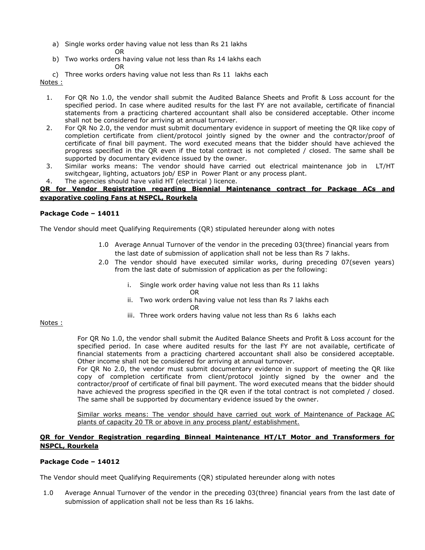a) Single works order having value not less than Rs 21 lakhs

OR

b) Two works orders having value not less than Rs 14 lakhs each OR

c) Three works orders having value not less than Rs 11 lakhs each Notes :

- 1. For QR No 1.0, the vendor shall submit the Audited Balance Sheets and Profit & Loss account for the specified period. In case where audited results for the last FY are not available, certificate of financial statements from a practicing chartered accountant shall also be considered acceptable. Other income shall not be considered for arriving at annual turnover.
- 2. For QR No 2.0, the vendor must submit documentary evidence in support of meeting the QR like copy of completion certificate from client/protocol jointly signed by the owner and the contractor/proof of certificate of final bill payment. The word executed means that the bidder should have achieved the progress specified in the QR even if the total contract is not completed / closed. The same shall be supported by documentary evidence issued by the owner.
- 3. Similar works means: The vendor should have carried out electrical maintenance job in LT/HT switchgear, lighting, actuators job/ ESP in Power Plant or any process plant.
- 4. The agencies should have valid HT (electrical ) licence.

# **QR for Vendor Registration regarding Biennial Maintenance contract for Package ACs and evaporative cooling Fans at NSPCL, Rourkela**

# **Package Code – 14011**

The Vendor should meet Qualifying Requirements (QR) stipulated hereunder along with notes

- 1.0 Average Annual Turnover of the vendor in the preceding 03(three) financial years from the last date of submission of application shall not be less than Rs 7 lakhs.
- 2.0 The vendor should have executed similar works, during preceding 07(seven years) from the last date of submission of application as per the following:
	- i. Single work order having value not less than Rs 11 lakhs
		- OR
	- ii. Two work orders having value not less than Rs 7 lakhs each OR
	- iii. Three work orders having value not less than Rs 6 lakhs each

Notes :

For QR No 1.0, the vendor shall submit the Audited Balance Sheets and Profit & Loss account for the specified period. In case where audited results for the last FY are not available, certificate of financial statements from a practicing chartered accountant shall also be considered acceptable. Other income shall not be considered for arriving at annual turnover.

For QR No 2.0, the vendor must submit documentary evidence in support of meeting the QR like copy of completion certificate from client/protocol jointly signed by the owner and the contractor/proof of certificate of final bill payment. The word executed means that the bidder should have achieved the progress specified in the QR even if the total contract is not completed / closed. The same shall be supported by documentary evidence issued by the owner.

Similar works means: The vendor should have carried out work of Maintenance of Package AC plants of capacity 20 TR or above in any process plant/ establishment.

# **QR for Vendor Registration regarding Binneal Maintenance HT/LT Motor and Transformers for NSPCL, Rourkela**

# **Package Code – 14012**

The Vendor should meet Qualifying Requirements (QR) stipulated hereunder along with notes

1.0 Average Annual Turnover of the vendor in the preceding 03(three) financial years from the last date of submission of application shall not be less than Rs 16 lakhs.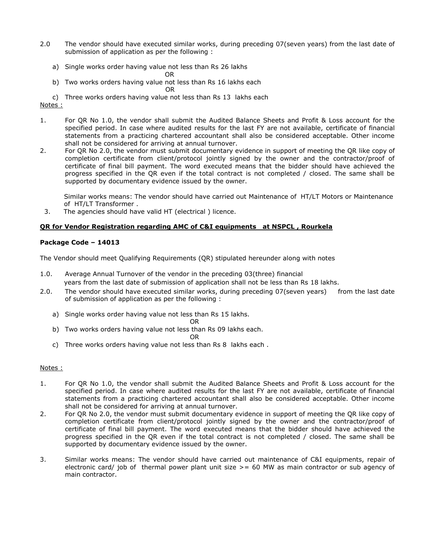- 2.0 The vendor should have executed similar works, during preceding 07(seven years) from the last date of submission of application as per the following :
	- a) Single works order having value not less than Rs 26 lakhs

OR

b) Two works orders having value not less than Rs 16 lakhs each

OR

c) Three works orders having value not less than Rs 13 lakhs each Notes :

- 1. For QR No 1.0, the vendor shall submit the Audited Balance Sheets and Profit & Loss account for the specified period. In case where audited results for the last FY are not available, certificate of financial statements from a practicing chartered accountant shall also be considered acceptable. Other income shall not be considered for arriving at annual turnover.
- 2. For QR No 2.0, the vendor must submit documentary evidence in support of meeting the QR like copy of completion certificate from client/protocol jointly signed by the owner and the contractor/proof of certificate of final bill payment. The word executed means that the bidder should have achieved the progress specified in the QR even if the total contract is not completed / closed. The same shall be supported by documentary evidence issued by the owner.

 Similar works means: The vendor should have carried out Maintenance of HT/LT Motors or Maintenance of HT/LT Transformer .

3. The agencies should have valid HT (electrical ) licence.

# **QR for Vendor Registration regarding AMC of C&I equipments at NSPCL , Rourkela**

# **Package Code – 14013**

The Vendor should meet Qualifying Requirements (QR) stipulated hereunder along with notes

- 1.0. Average Annual Turnover of the vendor in the preceding 03(three) financial years from the last date of submission of application shall not be less than Rs 18 lakhs.
- 2.0. The vendor should have executed similar works, during preceding 07(seven years) from the last date of submission of application as per the following :
	- a) Single works order having value not less than Rs 15 lakhs.
		- OR
	- b) Two works orders having value not less than Rs 09 lakhs each.

# OR

c) Three works orders having value not less than Rs 8 lakhs each .

# Notes :

- 1. For QR No 1.0, the vendor shall submit the Audited Balance Sheets and Profit & Loss account for the specified period. In case where audited results for the last FY are not available, certificate of financial statements from a practicing chartered accountant shall also be considered acceptable. Other income shall not be considered for arriving at annual turnover.
- 2. For QR No 2.0, the vendor must submit documentary evidence in support of meeting the QR like copy of completion certificate from client/protocol jointly signed by the owner and the contractor/proof of certificate of final bill payment. The word executed means that the bidder should have achieved the progress specified in the QR even if the total contract is not completed / closed. The same shall be supported by documentary evidence issued by the owner.
- 3. Similar works means: The vendor should have carried out maintenance of C&I equipments, repair of electronic card/ job of thermal power plant unit size  $> = 60$  MW as main contractor or sub agency of main contractor.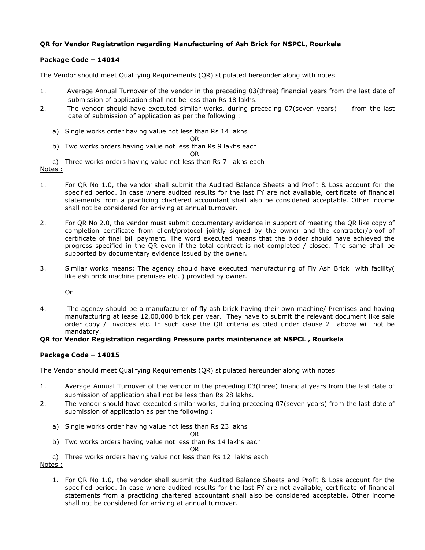# **QR for Vendor Registration regarding Manufacturing of Ash Brick for NSPCL, Rourkela**

# **Package Code – 14014**

The Vendor should meet Qualifying Requirements (QR) stipulated hereunder along with notes

- 1. Average Annual Turnover of the vendor in the preceding 03(three) financial years from the last date of submission of application shall not be less than Rs 18 lakhs.
- 2. The vendor should have executed similar works, during preceding 07(seven years) from the last date of submission of application as per the following :
	- a) Single works order having value not less than Rs 14 lakhs
	- OR b) Two works orders having value not less than Rs 9 lakhs each

#### OR

- c) Three works orders having value not less than Rs 7 lakhs each
- Notes :
- 1. For QR No 1.0, the vendor shall submit the Audited Balance Sheets and Profit & Loss account for the specified period. In case where audited results for the last FY are not available, certificate of financial statements from a practicing chartered accountant shall also be considered acceptable. Other income shall not be considered for arriving at annual turnover.
- 2. For QR No 2.0, the vendor must submit documentary evidence in support of meeting the QR like copy of completion certificate from client/protocol jointly signed by the owner and the contractor/proof of certificate of final bill payment. The word executed means that the bidder should have achieved the progress specified in the QR even if the total contract is not completed / closed. The same shall be supported by documentary evidence issued by the owner.
- 3. Similar works means: The agency should have executed manufacturing of Fly Ash Brick with facility( like ash brick machine premises etc. ) provided by owner.

Or

4. The agency should be a manufacturer of fly ash brick having their own machine/ Premises and having manufacturing at lease 12,00,000 brick per year. They have to submit the relevant document like sale order copy / Invoices etc. In such case the QR criteria as cited under clause 2 above will not be mandatory.

#### **QR for Vendor Registration regarding Pressure parts maintenance at NSPCL , Rourkela**

# **Package Code – 14015**

The Vendor should meet Qualifying Requirements (QR) stipulated hereunder along with notes

- 1. Average Annual Turnover of the vendor in the preceding 03(three) financial years from the last date of submission of application shall not be less than Rs 28 lakhs.
- 2. The vendor should have executed similar works, during preceding 07(seven years) from the last date of submission of application as per the following :
	- a) Single works order having value not less than Rs 23 lakhs

OR

b) Two works orders having value not less than Rs 14 lakhs each

OR

c) Three works orders having value not less than Rs 12 lakhs each

Notes :

1. For QR No 1.0, the vendor shall submit the Audited Balance Sheets and Profit & Loss account for the specified period. In case where audited results for the last FY are not available, certificate of financial statements from a practicing chartered accountant shall also be considered acceptable. Other income shall not be considered for arriving at annual turnover.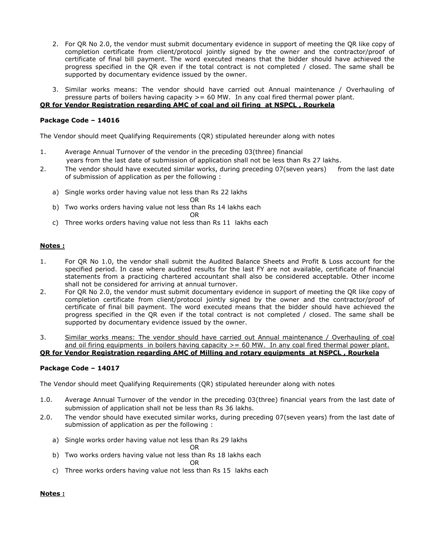- 2. For QR No 2.0, the vendor must submit documentary evidence in support of meeting the QR like copy of completion certificate from client/protocol jointly signed by the owner and the contractor/proof of certificate of final bill payment. The word executed means that the bidder should have achieved the progress specified in the QR even if the total contract is not completed / closed. The same shall be supported by documentary evidence issued by the owner.
- 3. Similar works means: The vendor should have carried out Annual maintenance / Overhauling of pressure parts of boilers having capacity >= 60 MW. In any coal fired thermal power plant.

# **QR for Vendor Registration regarding AMC of coal and oil firing at NSPCL , Rourkela**

#### **Package Code – 14016**

The Vendor should meet Qualifying Requirements (QR) stipulated hereunder along with notes

- 1. Average Annual Turnover of the vendor in the preceding 03(three) financial years from the last date of submission of application shall not be less than Rs 27 lakhs.
- 2. The vendor should have executed similar works, during preceding 07(seven years) from the last date of submission of application as per the following :
	- a) Single works order having value not less than Rs 22 lakhs
		- OR
	- b) Two works orders having value not less than Rs 14 lakhs each

OR

c) Three works orders having value not less than Rs 11 lakhs each

#### **Notes :**

- 1. For QR No 1.0, the vendor shall submit the Audited Balance Sheets and Profit & Loss account for the specified period. In case where audited results for the last FY are not available, certificate of financial statements from a practicing chartered accountant shall also be considered acceptable. Other income shall not be considered for arriving at annual turnover.
- 2. For QR No 2.0, the vendor must submit documentary evidence in support of meeting the QR like copy of completion certificate from client/protocol jointly signed by the owner and the contractor/proof of certificate of final bill payment. The word executed means that the bidder should have achieved the progress specified in the QR even if the total contract is not completed / closed. The same shall be supported by documentary evidence issued by the owner.
- 3. Similar works means: The vendor should have carried out Annual maintenance / Overhauling of coal and oil firing equipments in boilers having capacity  $>= 60$  MW. In any coal fired thermal power plant. **QR for Vendor Registration regarding AMC of Milling and rotary equipments at NSPCL , Rourkela**

#### **Package Code – 14017**

The Vendor should meet Qualifying Requirements (QR) stipulated hereunder along with notes

- 1.0. Average Annual Turnover of the vendor in the preceding 03(three) financial years from the last date of submission of application shall not be less than Rs 36 lakhs.
- 2.0. The vendor should have executed similar works, during preceding 07(seven years) from the last date of submission of application as per the following :
	- a) Single works order having value not less than Rs 29 lakhs

OR

b) Two works orders having value not less than Rs 18 lakhs each

OR

c) Three works orders having value not less than Rs 15 lakhs each

#### **Notes :**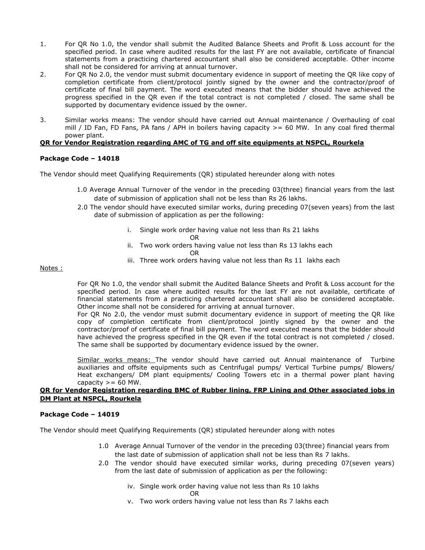- 1. For QR No 1.0, the vendor shall submit the Audited Balance Sheets and Profit & Loss account for the specified period. In case where audited results for the last FY are not available, certificate of financial statements from a practicing chartered accountant shall also be considered acceptable. Other income shall not be considered for arriving at annual turnover.
- 2. For QR No 2.0, the vendor must submit documentary evidence in support of meeting the QR like copy of completion certificate from client/protocol jointly signed by the owner and the contractor/proof of certificate of final bill payment. The word executed means that the bidder should have achieved the progress specified in the QR even if the total contract is not completed / closed. The same shall be supported by documentary evidence issued by the owner.
- 3. Similar works means: The vendor should have carried out Annual maintenance / Overhauling of coal mill / ID Fan, FD Fans, PA fans / APH in boilers having capacity  $>= 60$  MW. In any coal fired thermal power plant.

# **QR for Vendor Registration regarding AMC of TG and off site equipments at NSPCL, Rourkela**

#### **Package Code – 14018**

The Vendor should meet Qualifying Requirements (QR) stipulated hereunder along with notes

- 1.0 Average Annual Turnover of the vendor in the preceding 03(three) financial years from the last date of submission of application shall not be less than Rs 26 lakhs.
- 2.0 The vendor should have executed similar works, during preceding 07(seven years) from the last date of submission of application as per the following:
	- i. Single work order having value not less than Rs 21 lakhs
		- OR
	- ii. Two work orders having value not less than Rs 13 lakhs each OR
	- iii. Three work orders having value not less than Rs 11 lakhs each

#### Notes :

For QR No 1.0, the vendor shall submit the Audited Balance Sheets and Profit & Loss account for the specified period. In case where audited results for the last FY are not available, certificate of financial statements from a practicing chartered accountant shall also be considered acceptable. Other income shall not be considered for arriving at annual turnover.

For QR No 2.0, the vendor must submit documentary evidence in support of meeting the QR like copy of completion certificate from client/protocol jointly signed by the owner and the contractor/proof of certificate of final bill payment. The word executed means that the bidder should have achieved the progress specified in the QR even if the total contract is not completed / closed. The same shall be supported by documentary evidence issued by the owner.

Similar works means: The vendor should have carried out Annual maintenance of Turbine auxiliaries and offsite equipments such as Centrifugal pumps/ Vertical Turbine pumps/ Blowers/ Heat exchangers/ DM plant equipments/ Cooling Towers etc in a thermal power plant having capacity  $>= 60$  MW.

#### **QR for Vendor Registration regarding BMC of Rubber lining, FRP Lining and Other associated jobs in DM Plant at NSPCL, Rourkela**

#### **Package Code – 14019**

- 1.0 Average Annual Turnover of the vendor in the preceding 03(three) financial years from the last date of submission of application shall not be less than Rs 7 lakhs.
- 2.0 The vendor should have executed similar works, during preceding 07(seven years) from the last date of submission of application as per the following:
	- iv. Single work order having value not less than Rs 10 lakhs OR
	- v. Two work orders having value not less than Rs 7 lakhs each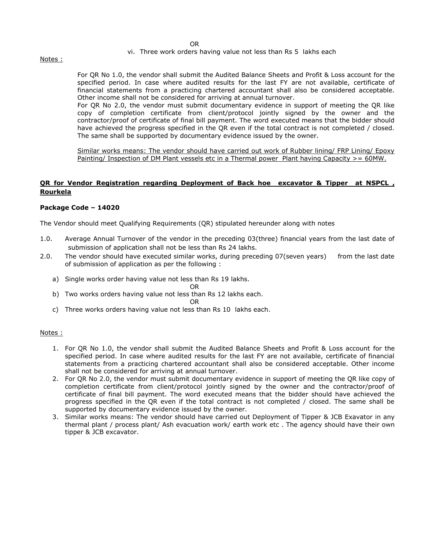#### vi. Three work orders having value not less than Rs 5 lakhs each

Notes :

For QR No 1.0, the vendor shall submit the Audited Balance Sheets and Profit & Loss account for the specified period. In case where audited results for the last FY are not available, certificate of financial statements from a practicing chartered accountant shall also be considered acceptable. Other income shall not be considered for arriving at annual turnover.

For QR No 2.0, the vendor must submit documentary evidence in support of meeting the QR like copy of completion certificate from client/protocol jointly signed by the owner and the contractor/proof of certificate of final bill payment. The word executed means that the bidder should have achieved the progress specified in the QR even if the total contract is not completed / closed. The same shall be supported by documentary evidence issued by the owner.

Similar works means: The vendor should have carried out work of Rubber lining/ FRP Lining/ Epoxy Painting/ Inspection of DM Plant vessels etc in a Thermal power Plant having Capacity >= 60MW.

# **QR for Vendor Registration regarding Deployment of Back hoe excavator & Tipper at NSPCL , Rourkela**

#### **Package Code – 14020**

The Vendor should meet Qualifying Requirements (QR) stipulated hereunder along with notes

- 1.0. Average Annual Turnover of the vendor in the preceding 03(three) financial years from the last date of submission of application shall not be less than Rs 24 lakhs.
- 2.0. The vendor should have executed similar works, during preceding 07(seven years) from the last date of submission of application as per the following :
	- a) Single works order having value not less than Rs 19 lakhs.

OR

b) Two works orders having value not less than Rs 12 lakhs each.

OR

c) Three works orders having value not less than Rs 10 lakhs each.

#### Notes :

- 1. For QR No 1.0, the vendor shall submit the Audited Balance Sheets and Profit & Loss account for the specified period. In case where audited results for the last FY are not available, certificate of financial statements from a practicing chartered accountant shall also be considered acceptable. Other income shall not be considered for arriving at annual turnover.
- 2. For QR No 2.0, the vendor must submit documentary evidence in support of meeting the QR like copy of completion certificate from client/protocol jointly signed by the owner and the contractor/proof of certificate of final bill payment. The word executed means that the bidder should have achieved the progress specified in the QR even if the total contract is not completed / closed. The same shall be supported by documentary evidence issued by the owner.
- 3. Similar works means: The vendor should have carried out Deployment of Tipper & JCB Exavator in any thermal plant / process plant/ Ash evacuation work/ earth work etc . The agency should have their own tipper & JCB excavator.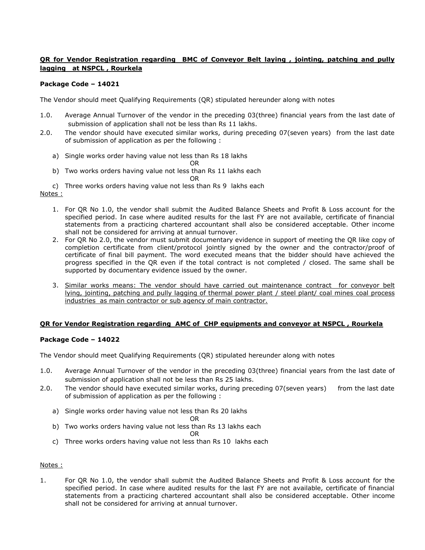# **QR for Vendor Registration regarding BMC of Conveyor Belt laying , jointing, patching and pully lagging at NSPCL , Rourkela**

# **Package Code – 14021**

The Vendor should meet Qualifying Requirements (QR) stipulated hereunder along with notes

- 1.0. Average Annual Turnover of the vendor in the preceding 03(three) financial years from the last date of submission of application shall not be less than Rs 11 lakhs.
- 2.0. The vendor should have executed similar works, during preceding 07(seven years) from the last date of submission of application as per the following :
	- a) Single works order having value not less than Rs 18 lakhs OR
	- b) Two works orders having value not less than Rs 11 lakhs each

OR

c) Three works orders having value not less than Rs 9 lakhs each

#### Notes :

- 1. For QR No 1.0, the vendor shall submit the Audited Balance Sheets and Profit & Loss account for the specified period. In case where audited results for the last FY are not available, certificate of financial statements from a practicing chartered accountant shall also be considered acceptable. Other income shall not be considered for arriving at annual turnover.
- 2. For QR No 2.0, the vendor must submit documentary evidence in support of meeting the QR like copy of completion certificate from client/protocol jointly signed by the owner and the contractor/proof of certificate of final bill payment. The word executed means that the bidder should have achieved the progress specified in the QR even if the total contract is not completed / closed. The same shall be supported by documentary evidence issued by the owner.
- 3. Similar works means: The vendor should have carried out maintenance contract for conveyor belt lying, jointing, patching and pully lagging of thermal power plant / steel plant/ coal mines coal process industries as main contractor or sub agency of main contractor.

# **QR for Vendor Registration regarding AMC of CHP equipments and conveyor at NSPCL , Rourkela**

# **Package Code – 14022**

The Vendor should meet Qualifying Requirements (QR) stipulated hereunder along with notes

- 1.0. Average Annual Turnover of the vendor in the preceding 03(three) financial years from the last date of submission of application shall not be less than Rs 25 lakhs.
- 2.0. The vendor should have executed similar works, during preceding 07(seven years) from the last date of submission of application as per the following :
	- a) Single works order having value not less than Rs 20 lakhs

#### OR

b) Two works orders having value not less than Rs 13 lakhs each

#### OR

c) Three works orders having value not less than Rs 10 lakhs each

# Notes :

1. For QR No 1.0, the vendor shall submit the Audited Balance Sheets and Profit & Loss account for the specified period. In case where audited results for the last FY are not available, certificate of financial statements from a practicing chartered accountant shall also be considered acceptable. Other income shall not be considered for arriving at annual turnover.